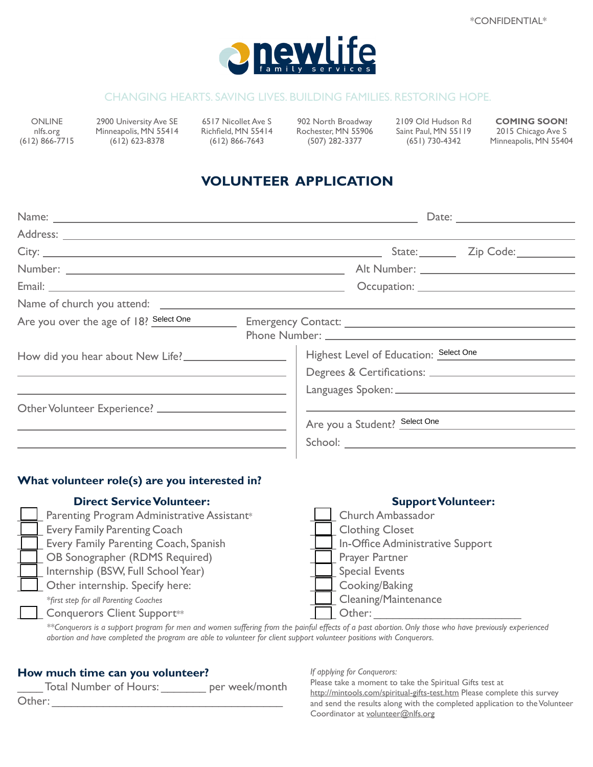

#### CHANGING HEARTS. SAVING LIVES. BUILDING FAMILIES. RESTORING HOPE.

ONLINE nlfs.org (612) 866-7715

2900 University Ave SE Minneapolis, MN 55414 (612) 623-8378

6517 Nicollet Ave S Richfield, MN 55414 (612) 866-7643

902 North Broadway Rochester, MN 55906 (507) 282-3377

2109 Old Hudson Rd Saint Paul, MN 55119 (651) 730-4342

**COMING SOON!** 2015 Chicago Ave S Minneapolis, MN 55404

# **VOLUNTEER APPLICATION**

|                                        | State: <u>Zip Code:</u>                |  |  |
|----------------------------------------|----------------------------------------|--|--|
|                                        |                                        |  |  |
|                                        |                                        |  |  |
|                                        |                                        |  |  |
| Are you over the age of 18? Select One |                                        |  |  |
| How did you hear about New Life?       | Highest Level of Education: Select One |  |  |
|                                        | Are you a Student? Select One          |  |  |
|                                        |                                        |  |  |

#### **What volunteer role(s) are you interested in?**

| <b>Direct Service Volunteer:</b>            |        | <b>Support Volunteer:</b>        |
|---------------------------------------------|--------|----------------------------------|
| Parenting Program Administrative Assistant* |        | Church Ambassador                |
| <b>Every Family Parenting Coach</b>         |        | <b>Clothing Closet</b>           |
| Every Family Parenting Coach, Spanish       |        | In-Office Administrative Support |
| OB Sonographer (RDMS Required)              |        | <b>Prayer Partner</b>            |
| Internship (BSW, Full School Year)          |        | <b>Special Events</b>            |
| Other internship. Specify here:             |        | Cooking/Baking                   |
| *first step for all Parenting Coaches       |        | Cleaning/Maintenance             |
| <b>Conquerors Client Support**</b>          | Other: |                                  |

*\*\*Conquerors is a support program for men and women suffering from the painful effects of a past abortion. Only those who have previously experienced abortion and have completed the program are able to volunteer for client support volunteer positions with Conquerors.*

#### **How much time can you volunteer?**

|        | <b>Total Number of Hours:</b> |  | per week/month |
|--------|-------------------------------|--|----------------|
| Other: |                               |  |                |

*If applying for Conquerors:*

Please take a moment to take the Spiritual Gifts test at http://mintools.com/spiritual-gifts-test.htm Please complete this survey and send the results along with the completed application to the Volunteer Coordinator at volunteer@nlfs.org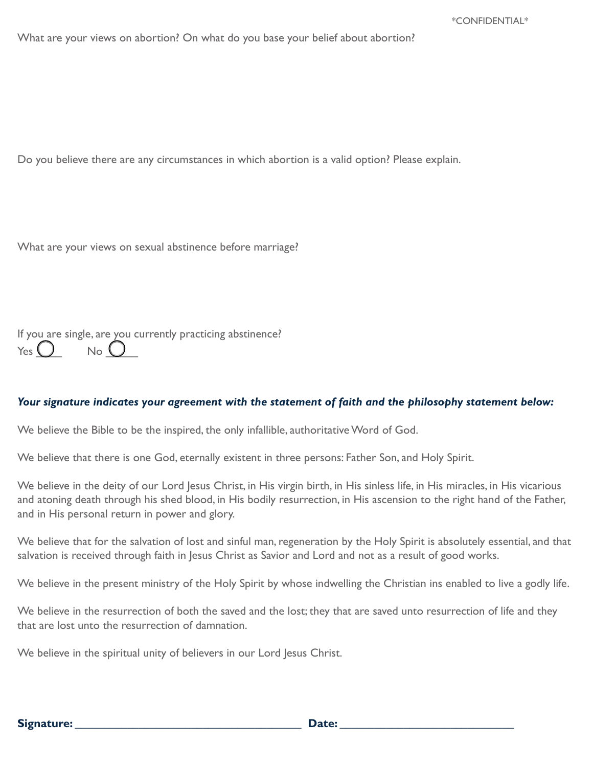What are your views on abortion? On what do you base your belief about abortion?

Do you believe there are any circumstances in which abortion is a valid option? Please explain.

What are your views on sexual abstinence before marriage?

If you are single, are you currently practicing abstinence?  $Y_{\text{es}} \bigcap_{N_Q} N_Q$ 

#### *Your signature indicates your agreement with the statement of faith and the philosophy statement below:*

We believe the Bible to be the inspired, the only infallible, authoritative Word of God.

We believe that there is one God, eternally existent in three persons: Father Son, and Holy Spirit.

We believe in the deity of our Lord Jesus Christ, in His virgin birth, in His sinless life, in His miracles, in His vicarious and atoning death through his shed blood, in His bodily resurrection, in His ascension to the right hand of the Father, and in His personal return in power and glory.

We believe that for the salvation of lost and sinful man, regeneration by the Holy Spirit is absolutely essential, and that salvation is received through faith in Jesus Christ as Savior and Lord and not as a result of good works.

We believe in the present ministry of the Holy Spirit by whose indwelling the Christian ins enabled to live a godly life.

We believe in the resurrection of both the saved and the lost; they that are saved unto resurrection of life and they that are lost unto the resurrection of damnation.

We believe in the spiritual unity of believers in our Lord Jesus Christ.

**Signature: \_\_\_\_\_\_\_\_\_\_\_\_\_\_\_\_\_\_\_\_\_\_\_\_\_\_\_\_\_\_\_\_\_\_\_\_\_\_\_ Date: \_\_\_\_\_\_\_\_\_\_\_\_\_\_\_\_\_\_\_\_\_\_\_\_\_\_\_\_\_\_**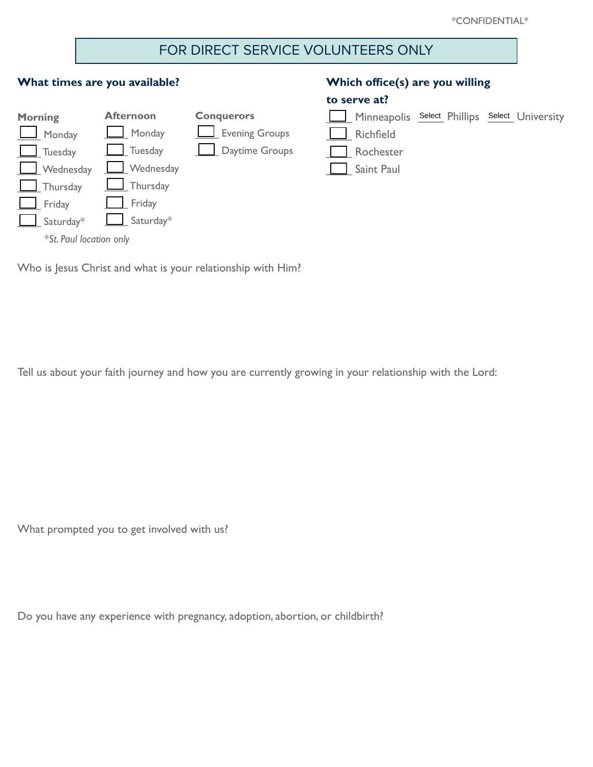# FOR DIRECT SERVICE VOLUNTEERS ONLY

### **What times are you available?**



## **Which office(s) are you willing**

#### **to serve at?**

|                                                                                                                                                                                                                                | Minneapolis Select Phillips Select University |
|--------------------------------------------------------------------------------------------------------------------------------------------------------------------------------------------------------------------------------|-----------------------------------------------|
| and the contract of the contract of the contract of the contract of the contract of the contract of the contract of the contract of the contract of the contract of the contract of the contract of the contract of the contra |                                               |

\_\_\_\_ Richfield

\_\_\_\_ Rochester

\_\_\_\_ Saint Paul

Who is Jesus Christ and what is your relationship with Him?

Tell us about your faith journey and how you are currently growing in your relationship with the Lord:

What prompted you to get involved with us?

Do you have any experience with pregnancy, adoption, abortion, or childbirth?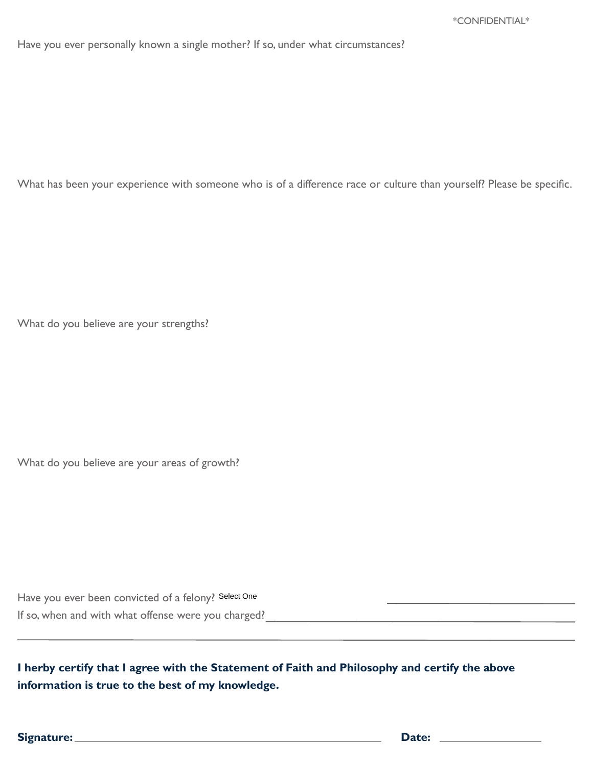Have you ever personally known a single mother? If so, under what circumstances?

What has been your experience with someone who is of a difference race or culture than yourself? Please be specific.

What do you believe are your strengths?

What do you believe are your areas of growth?

| Have you ever been convicted of a felony? Select One |  |
|------------------------------------------------------|--|
| If so, when and with what offense were you charged?  |  |

**I herby certify that I agree with the Statement of Faith and Philosophy and certify the above information is true to the best of my knowledge.**

**Signature:** <u>Date: 2000 Date: 2000 Date: 2000 Date: 2000 Date: 2000 Date: 2000 Date: 2000 Date: 2000 Date: 2000 Date: 2000 Date: 2000 Date: 2000 Date: 2000 Date: 2000 Date: 2000 Date: 2000 Date: 2000 Date: 2000 Date: 2000</u>